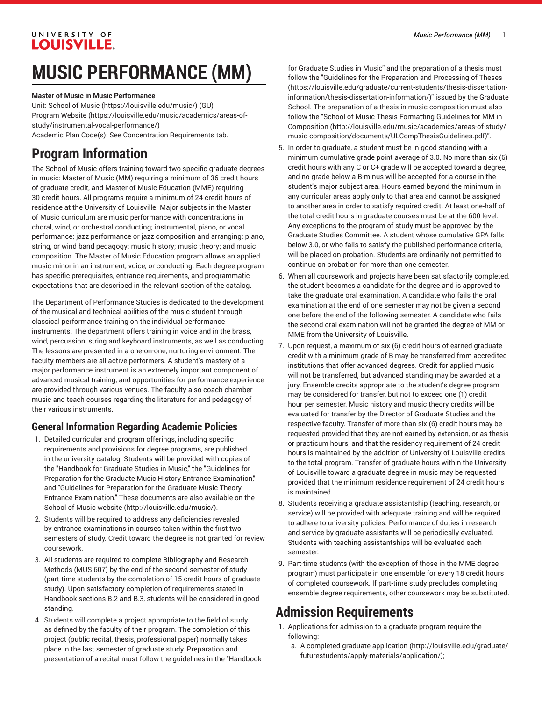#### UNIVERSITY OF **LOUISVILLE.**

# **MUSIC PERFORMANCE (MM)**

#### **Master of Music in Music Performance**

Unit: [School of Music \(https://louisville.edu/music/\)](https://louisville.edu/music/) (GU) [Program](https://louisville.edu/music/academics/areas-of-study/instrumental-vocal-performance/) Website [\(https://louisville.edu/music/academics/areas-of](https://louisville.edu/music/academics/areas-of-study/instrumental-vocal-performance/)[study/instrumental-vocal-performance/\)](https://louisville.edu/music/academics/areas-of-study/instrumental-vocal-performance/) Academic Plan Code(s): See Concentration Requirements tab.

## **Program Information**

The School of Music offers training toward two specific graduate degrees in music: Master of Music (MM) requiring a minimum of 36 credit hours of graduate credit, and Master of Music Education (MME) requiring 30 credit hours. All programs require a minimum of 24 credit hours of residence at the University of Louisville. Major subjects in the Master of Music curriculum are music performance with concentrations in choral, wind, or orchestral conducting; instrumental, piano, or vocal performance; jazz performance or jazz composition and arranging; piano, string, or wind band pedagogy; music history; music theory; and music composition. The Master of Music Education program allows an applied music minor in an instrument, voice, or conducting. Each degree program has specific prerequisites, entrance requirements, and programmatic expectations that are described in the relevant section of the catalog.

The Department of Performance Studies is dedicated to the development of the musical and technical abilities of the music student through classical performance training on the individual performance instruments. The department offers training in voice and in the brass, wind, percussion, string and keyboard instruments, as well as conducting. The lessons are presented in a one-on-one, nurturing environment. The faculty members are all active performers. A student's mastery of a major performance instrument is an extremely important component of advanced musical training, and opportunities for performance experience are provided through various venues. The faculty also coach chamber music and teach courses regarding the literature for and pedagogy of their various instruments.

### **General Information Regarding Academic Policies**

- 1. Detailed curricular and program offerings, including specific requirements and provisions for degree programs, are published in the university catalog. Students will be provided with copies of the "Handbook for Graduate Studies in Music," the "Guidelines for Preparation for the Graduate Music History Entrance Examination," and "Guidelines for Preparation for the Graduate Music Theory Entrance Examination." These documents are also available on [the](http://louisville.edu/music/) [School of Music website](http://louisville.edu/music/) ([http://louisville.edu/music/\)](http://louisville.edu/music/).
- 2. Students will be required to address any deficiencies revealed by entrance examinations in courses taken within the first two semesters of study. Credit toward the degree is not granted for review coursework.
- 3. All students are required to complete Bibliography and Research Methods [\(MUS 607](/search/?P=MUS%20607)) by the end of the second semester of study (part-time students by the completion of 15 credit hours of graduate study). Upon satisfactory completion of requirements stated in Handbook sections B.2 and B.3, students will be considered in good standing.
- 4. Students will complete a project appropriate to the field of study as defined by the faculty of their program. The completion of this project (public recital, thesis, professional paper) normally takes place in the last semester of graduate study. Preparation and presentation of a recital must follow the guidelines in the "Handbook

for Graduate Studies in Music" and the preparation of a thesis must follow the "Guidelines for the [Preparation](https://louisville.edu/graduate/current-students/thesis-dissertation-information/thesis-dissertation-information/) and Processing of Theses [\(https://louisville.edu/graduate/current-students/thesis-dissertation](https://louisville.edu/graduate/current-students/thesis-dissertation-information/thesis-dissertation-information/)[information/thesis-dissertation-information/\)](https://louisville.edu/graduate/current-students/thesis-dissertation-information/thesis-dissertation-information/)" issued by the Graduate School. The preparation of a thesis in music composition must also follow the "School of Music Thesis [Formatting](http://louisville.edu/music/academics/areas-of-study/music-composition/documents/ULCompThesisGuidelines.pdf) Guidelines for MM in [Composition](http://louisville.edu/music/academics/areas-of-study/music-composition/documents/ULCompThesisGuidelines.pdf) ([http://louisville.edu/music/academics/areas-of-study/](http://louisville.edu/music/academics/areas-of-study/music-composition/documents/ULCompThesisGuidelines.pdf) [music-composition/documents/ULCompThesisGuidelines.pdf\)](http://louisville.edu/music/academics/areas-of-study/music-composition/documents/ULCompThesisGuidelines.pdf)".

- 5. In order to graduate, a student must be in good standing with a minimum cumulative grade point average of 3.0. No more than six (6) credit hours with any C or C+ grade will be accepted toward a degree, and no grade below a B-minus will be accepted for a course in the student's major subject area. Hours earned beyond the minimum in any curricular areas apply only to that area and cannot be assigned to another area in order to satisfy required credit. At least one-half of the total credit hours in graduate courses must be at the 600 level. Any exceptions to the program of study must be approved by the Graduate Studies Committee. A student whose cumulative GPA falls below 3.0, or who fails to satisfy the published performance criteria, will be placed on probation. Students are ordinarily not permitted to continue on probation for more than one semester.
- 6. When all coursework and projects have been satisfactorily completed, the student becomes a candidate for the degree and is approved to take the graduate oral examination. A candidate who fails the oral examination at the end of one semester may not be given a second one before the end of the following semester. A candidate who fails the second oral examination will not be granted the degree of MM or MME from the University of Louisville.
- 7. Upon request, a maximum of six (6) credit hours of earned graduate credit with a minimum grade of B may be transferred from accredited institutions that offer advanced degrees. Credit for applied music will not be transferred, but advanced standing may be awarded at a jury. Ensemble credits appropriate to the student's degree program may be considered for transfer, but not to exceed one (1) credit hour per semester. Music history and music theory credits will be evaluated for transfer by the Director of Graduate Studies and the respective faculty. Transfer of more than six (6) credit hours may be requested provided that they are not earned by extension, or as thesis or practicum hours, and that the residency requirement of 24 credit hours is maintained by the addition of University of Louisville credits to the total program. Transfer of graduate hours within the University of Louisville toward a graduate degree in music may be requested provided that the minimum residence requirement of 24 credit hours is maintained.
- 8. Students receiving a graduate assistantship (teaching, research, or service) will be provided with adequate training and will be required to adhere to university policies. Performance of duties in research and service by graduate assistants will be periodically evaluated. Students with teaching assistantships will be evaluated each semester.
- 9. Part-time students (with the exception of those in the MME degree program) must participate in one ensemble for every 18 credit hours of completed coursework. If part-time study precludes completing ensemble degree requirements, other coursework may be substituted.

## **Admission Requirements**

- 1. Applications for admission to a graduate program require the following:
	- a. A completed [graduate application \(http://louisville.edu/graduate/](http://louisville.edu/graduate/futurestudents/apply-materials/application/) [futurestudents/apply-materials/application/\)](http://louisville.edu/graduate/futurestudents/apply-materials/application/);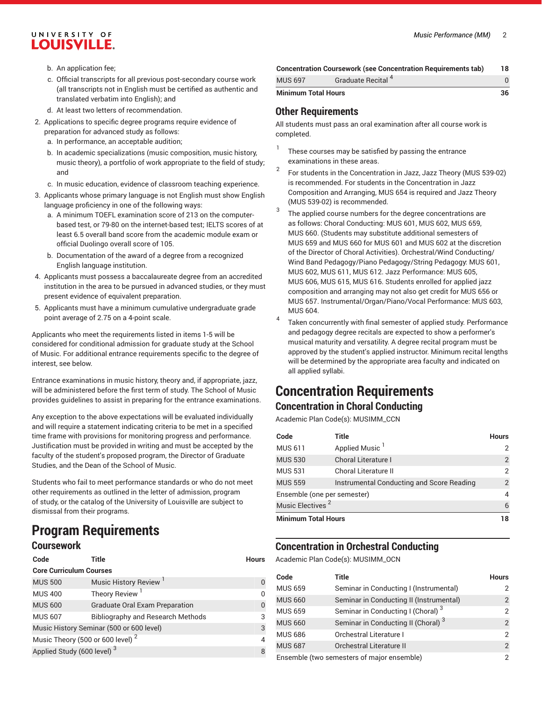### UNIVERSITY OF **LOUISVILLE.**

- b. An application fee;
- c. Official transcripts for all previous post-secondary course work (all transcripts not in English must be certified as authentic and translated verbatim into English); and
- d. At least two letters of recommendation.
- 2. Applications to specific degree programs require evidence of preparation for advanced study as follows:
	- a. In performance, an acceptable audition;
	- b. In academic specializations (music composition, music history, music theory), a portfolio of work appropriate to the field of study; and
	- c. In music education, evidence of classroom teaching experience.
- 3. Applicants whose primary language is not English must show English language proficiency in one of the following ways:
	- a. A minimum TOEFL examination score of 213 on the computerbased test, or 79-80 on the internet-based test; IELTS scores of at least 6.5 overall band score from the academic module exam or official Duolingo overall score of 105.
	- b. Documentation of the award of a degree from a recognized English language institution.
- 4. Applicants must possess a baccalaureate degree from an accredited institution in the area to be pursued in advanced studies, or they must present evidence of equivalent preparation.
- 5. Applicants must have a minimum cumulative undergraduate grade point average of 2.75 on a 4-point scale.

Applicants who meet the requirements listed in items 1-5 will be considered for conditional admission for graduate study at the School of Music. For additional entrance requirements specific to the degree of interest, see below.

Entrance examinations in music history, theory and, if appropriate, jazz, will be administered before the first term of study. The School of Music provides guidelines to assist in preparing for the entrance examinations.

Any exception to the above expectations will be evaluated individually and will require a statement indicating criteria to be met in a specified time frame with provisions for monitoring progress and performance. Justification must be provided in writing and must be accepted by the faculty of the student's proposed program, the Director of Graduate Studies, and the Dean of the School of Music.

Students who fail to meet performance standards or who do not meet other requirements as outlined in the letter of admission, program of study, or the catalog of the University of Louisville are subject to dismissal from their programs.

## **Program Requirements**

#### **Coursework**

| Code                                         | Title                                    | Hours    |
|----------------------------------------------|------------------------------------------|----------|
| <b>Core Curriculum Courses</b>               |                                          |          |
| <b>MUS 500</b>                               | <b>Music History Review</b>              |          |
| <b>MUS 400</b>                               | <b>Theory Review</b>                     | 0        |
| <b>MUS 600</b>                               | <b>Graduate Oral Exam Preparation</b>    | $\Omega$ |
| <b>MUS 607</b>                               | <b>Bibliography and Research Methods</b> | 3        |
|                                              | Music History Seminar (500 or 600 level) | 3        |
| Music Theory (500 or 600 level) <sup>2</sup> |                                          |          |
| Applied Study (600 level) <sup>3</sup>       |                                          | 8        |

| <b>Minimum Total Hours</b> |                                                                      | 36 |
|----------------------------|----------------------------------------------------------------------|----|
| <b>MUS 697</b>             | Graduate Recital <sup>4</sup>                                        |    |
|                            | <b>Concentration Coursework (see Concentration Requirements tab)</b> | 18 |

#### **Other Requirements**

All students must pass an oral examination after all course work is completed.

- 1 These courses may be satisfied by passing the entrance examinations in these areas.
- 2 For students in the Concentration in Jazz, Jazz Theory (MUS 539-02) is recommended. For students in the Concentration in Jazz Composition and Arranging, MUS 654 is required and Jazz Theory (MUS 539-02) is recommended.
- 3 The applied course numbers for the degree concentrations are as follows: Choral Conducting: MUS 601, MUS 602, MUS 659, MUS 660. (Students may substitute additional semesters of MUS 659 and MUS 660 for MUS 601 and MUS 602 at the discretion of the Director of Choral Activities). Orchestral/Wind Conducting/ Wind Band Pedagogy/Piano Pedagogy/String Pedagogy: MUS 601, MUS 602, MUS 611, MUS 612. Jazz Performance: MUS 605, MUS 606, MUS 615, MUS 616. Students enrolled for applied jazz composition and arranging may not also get credit for MUS 656 or MUS 657. Instrumental/Organ/Piano/Vocal Performance: MUS 603, MUS 604.
- 4 Taken concurrently with final semester of applied study. Performance and pedagogy degree recitals are expected to show a performer's musical maturity and versatility. A degree recital program must be approved by the student's applied instructor. Minimum recital lengths will be determined by the appropriate area faculty and indicated on all applied syllabi.

## **Concentration Requirements**

**Concentration in Choral Conducting**

Academic Plan Code(s): MUSIMM\_CCN

| Code                         | Title                                     | <b>Hours</b>   |
|------------------------------|-------------------------------------------|----------------|
| <b>MUS 611</b>               | Applied Music <sup>1</sup>                | 2              |
| <b>MUS 530</b>               | Choral Literature I                       | $\overline{2}$ |
| <b>MUS 531</b>               | Choral Literature II                      | 2              |
| <b>MUS 559</b>               | Instrumental Conducting and Score Reading | 2              |
| Ensemble (one per semester)  |                                           | 4              |
| Music Electives <sup>2</sup> |                                           | 6              |
| <b>Minimum Total Hours</b>   |                                           | 18             |

## **Concentration in Orchestral Conducting**

Academic Plan Code(s): MUSIMM\_OCN

| Code           | Title                                          | <b>Hours</b>   |
|----------------|------------------------------------------------|----------------|
| <b>MUS 659</b> | Seminar in Conducting I (Instrumental)         |                |
| <b>MUS 660</b> | Seminar in Conducting II (Instrumental)        | 2              |
| <b>MUS 659</b> | Seminar in Conducting I (Choral) <sup>3</sup>  | 2              |
| <b>MUS 660</b> | Seminar in Conducting II (Choral) <sup>3</sup> | $\overline{2}$ |
| <b>MUS 686</b> | Orchestral Literature I                        | 2              |
| <b>MUS 687</b> | Orchestral Literature II                       | $\overline{2}$ |
|                | Ensemble (two semesters of major ensemble)     | 2              |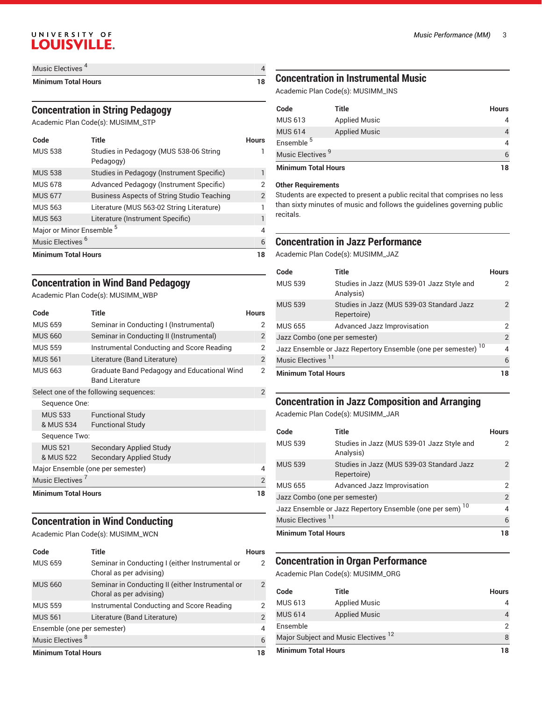### UNIVERSITY OF LOUISVILLE.

| Music Electives            |  |
|----------------------------|--|
| <b>Minimum Total Hours</b> |  |

#### **Concentration in String Pedagogy**

Academic Plan Code(s): MUSIMM\_STP

| Code                                 | Title                                               | Hours |
|--------------------------------------|-----------------------------------------------------|-------|
| <b>MUS 538</b>                       | Studies in Pedagogy (MUS 538-06 String<br>Pedagogy) |       |
| <b>MUS 538</b>                       | Studies in Pedagogy (Instrument Specific)           |       |
| <b>MUS 678</b>                       | Advanced Pedagogy (Instrument Specific)             | 2     |
| <b>MUS 677</b>                       | <b>Business Aspects of String Studio Teaching</b>   | 2     |
| <b>MUS 563</b>                       | Literature (MUS 563-02 String Literature)           |       |
| <b>MUS 563</b>                       | Literature (Instrument Specific)                    |       |
| Major or Minor Ensemble <sup>5</sup> |                                                     | 4     |
| Music Electives <sup>6</sup>         |                                                     | 6     |
| <b>Minimum Total Hours</b>           |                                                     | 18    |

### **Concentration in Wind Band Pedagogy**

Academic Plan Code(s): MUSIMM\_WBP

| Code                         | Title                                                                 | <b>Hours</b>   |
|------------------------------|-----------------------------------------------------------------------|----------------|
| <b>MUS 659</b>               | Seminar in Conducting I (Instrumental)                                | 2              |
| <b>MUS 660</b>               | Seminar in Conducting II (Instrumental)                               | $\overline{2}$ |
| <b>MUS 559</b>               | Instrumental Conducting and Score Reading                             | 2              |
| <b>MUS 561</b>               | Literature (Band Literature)                                          | $\overline{2}$ |
| <b>MUS 663</b>               | Graduate Band Pedagogy and Educational Wind<br><b>Band Literature</b> | 2              |
|                              | Select one of the following sequences:                                | $\overline{2}$ |
| Sequence One:                |                                                                       |                |
| MUS 533                      | <b>Functional Study</b>                                               |                |
| & MUS 534                    | <b>Functional Study</b>                                               |                |
| Sequence Two:                |                                                                       |                |
| <b>MUS 521</b>               | <b>Secondary Applied Study</b>                                        |                |
| & MUS 522                    | Secondary Applied Study                                               |                |
|                              | Major Ensemble (one per semester)                                     | 4              |
| Music Electives <sup>7</sup> |                                                                       | $\overline{2}$ |
| <b>Minimum Total Hours</b>   |                                                                       | 18             |

#### **Concentration in Wind Conducting**

Academic Plan Code(s): MUSIMM\_WCN

| Code                         | Title                                                                       | Hours         |
|------------------------------|-----------------------------------------------------------------------------|---------------|
| <b>MUS 659</b>               | Seminar in Conducting I (either Instrumental or<br>Choral as per advising)  | 2             |
| <b>MUS 660</b>               | Seminar in Conducting II (either Instrumental or<br>Choral as per advising) | $\mathcal{P}$ |
| <b>MUS 559</b>               | Instrumental Conducting and Score Reading                                   | 2             |
| <b>MUS 561</b>               | Literature (Band Literature)                                                | 2             |
| Ensemble (one per semester)  |                                                                             | 4             |
| Music Electives <sup>8</sup> |                                                                             | 6             |
| <b>Minimum Total Hours</b>   |                                                                             |               |

#### *Music Performance (MM)* 3

#### **Concentration in Instrumental Music**

Academic Plan Code(s): MUSIMM\_INS

| Code                         | Title                | <b>Hours</b> |
|------------------------------|----------------------|--------------|
| <b>MUS 613</b>               | <b>Applied Music</b> | 4            |
| <b>MUS 614</b>               | <b>Applied Music</b> | 4            |
| Ensemble <sup>5</sup>        |                      | 4            |
| Music Electives <sup>9</sup> |                      | 6            |
| <b>Minimum Total Hours</b>   |                      | 18           |

#### **Other Requirements**

Students are expected to present a public recital that comprises no less than sixty minutes of music and follows the guidelines governing public recitals.

#### **Concentration in Jazz Performance**

Academic Plan Code(s): MUSIMM\_JAZ

| Code                          | Title                                                                     | <b>Hours</b> |
|-------------------------------|---------------------------------------------------------------------------|--------------|
| <b>MUS 539</b>                | Studies in Jazz (MUS 539-01 Jazz Style and<br>Analysis)                   |              |
| <b>MUS 539</b>                | Studies in Jazz (MUS 539-03 Standard Jazz<br>Repertoire)                  | 2            |
| <b>MUS 655</b>                | Advanced Jazz Improvisation                                               | 2            |
| Jazz Combo (one per semester) |                                                                           | 2            |
|                               | Jazz Ensemble or Jazz Repertory Ensemble (one per semester) <sup>10</sup> | 4            |
| Music Electives <sup>11</sup> |                                                                           | 6            |
| <b>Minimum Total Hours</b>    |                                                                           | 18           |

## **Concentration in Jazz Composition and Arranging**

Academic Plan Code(s): MUSIMM\_JAR

| Code                          | Title                                                                | <b>Hours</b>  |
|-------------------------------|----------------------------------------------------------------------|---------------|
| <b>MUS 539</b>                | Studies in Jazz (MUS 539-01 Jazz Style and<br>Analysis)              | 2             |
| <b>MUS 539</b>                | Studies in Jazz (MUS 539-03 Standard Jazz<br>Repertoire)             | $\mathcal{P}$ |
| <b>MUS 655</b>                | Advanced Jazz Improvisation                                          | 2             |
| Jazz Combo (one per semester) |                                                                      | 2             |
|                               | Jazz Ensemble or Jazz Repertory Ensemble (one per sem) <sup>10</sup> | 4             |
| Music Electives <sup>11</sup> |                                                                      | 6             |
| <b>Minimum Total Hours</b>    |                                                                      | 18            |

#### **Concentration in Organ Performance**

Academic Plan Code(s): MUSIMM\_ORG

| 4<br>$\mathcal{P}$<br>8 |
|-------------------------|
|                         |
|                         |
|                         |
| 4                       |
| <b>Hours</b>            |
|                         |